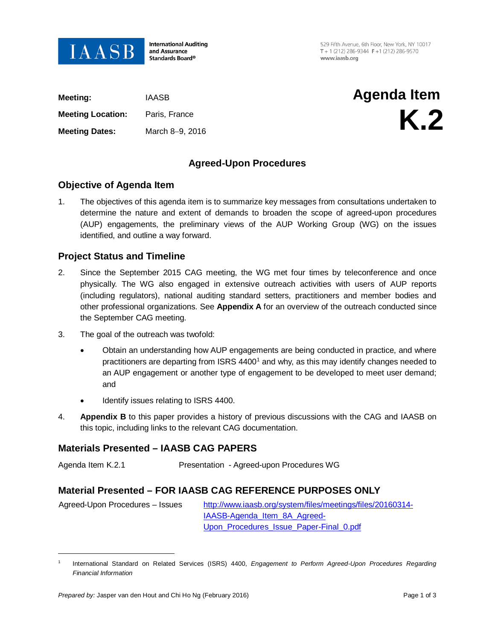

**International Auditing** and Assurance Standards Board®

529 Fifth Avenue, 6th Floor, New York, NY 10017 T + 1 (212) 286-9344  $F$  +1 (212) 286-9570 www.jaasb.org

| Meeting:                 | IAASB           | Agenda Item    |
|--------------------------|-----------------|----------------|
| <b>Meeting Location:</b> | Paris, France   | K <sub>2</sub> |
| <b>Meeting Dates:</b>    | March 8-9, 2016 |                |
|                          |                 |                |

## **Agreed-Upon Procedures**

### **Objective of Agenda Item**

1. The objectives of this agenda item is to summarize key messages from consultations undertaken to determine the nature and extent of demands to broaden the scope of agreed-upon procedures (AUP) engagements, the preliminary views of the AUP Working Group (WG) on the issues identified, and outline a way forward.

### **Project Status and Timeline**

- 2. Since the September 2015 CAG meeting, the WG met four times by teleconference and once physically. The WG also engaged in extensive outreach activities with users of AUP reports (including regulators), national auditing standard setters, practitioners and member bodies and other professional organizations. See **Appendix A** for an overview of the outreach conducted since the September CAG meeting.
- 3. The goal of the outreach was twofold:
	- Obtain an understanding how AUP engagements are being conducted in practice, and where practitioners are departing from ISRS 4400<sup>[1](#page-0-0)</sup> and why, as this may identify changes needed to an AUP engagement or another type of engagement to be developed to meet user demand; and
	- Identify issues relating to ISRS 4400.
- 4. **Appendix B** to this paper provides a history of previous discussions with the CAG and IAASB on this topic, including links to the relevant CAG documentation.

### **Materials Presented – IAASB CAG PAPERS**

Agenda Item K.2.1 Presentation - Agreed-upon Procedures WG

### **Material Presented – FOR IAASB CAG REFERENCE PURPOSES ONLY**

 Agreed-Upon Procedures – Issues http://www.iaasb.org/system/files/meetings/files/20160314- IAASB-Agenda\_Item\_8A\_Agreed-Upon Procedures Issue Paper-Final 0.pdf

 $\overline{a}$ 

<span id="page-0-0"></span><sup>1</sup> International Standard on Related Services (ISRS) 4400, *Engagement to Perform Agreed-Upon Procedures Regarding Financial Information*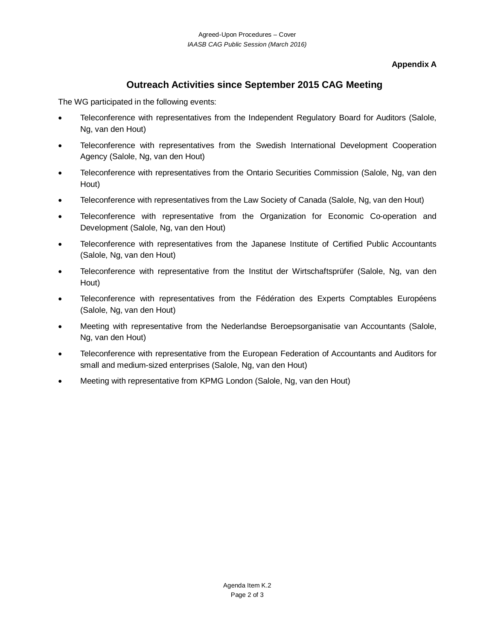### **Appendix A**

# **Outreach Activities since September 2015 CAG Meeting**

The WG participated in the following events:

- Teleconference with representatives from the Independent Regulatory Board for Auditors (Salole, Ng, van den Hout)
- Teleconference with representatives from the Swedish International Development Cooperation Agency (Salole, Ng, van den Hout)
- Teleconference with representatives from the Ontario Securities Commission (Salole, Ng, van den Hout)
- Teleconference with representatives from the Law Society of Canada (Salole, Ng, van den Hout)
- Teleconference with representative from the Organization for Economic Co-operation and Development (Salole, Ng, van den Hout)
- Teleconference with representatives from the Japanese Institute of Certified Public Accountants (Salole, Ng, van den Hout)
- Teleconference with representative from the Institut der Wirtschaftsprüfer (Salole, Ng, van den Hout)
- Teleconference with representatives from the Fédération des Experts Comptables Européens (Salole, Ng, van den Hout)
- Meeting with representative from the [Nederlandse Beroepsorganisatie van Accountants](https://www.linkedin.com/company/1558182?trk=prof-0-ovw-curr_pos) (Salole, Ng, van den Hout)
- Teleconference with representative from the European Federation of Accountants and Auditors for small and medium-sized enterprises (Salole, Ng, van den Hout)
- Meeting with representative from KPMG London (Salole, Ng, van den Hout)